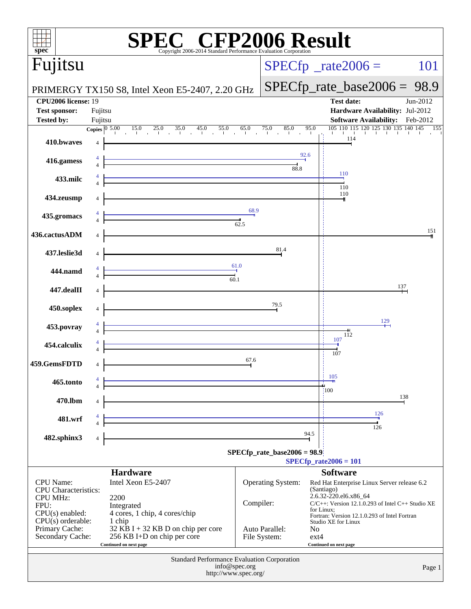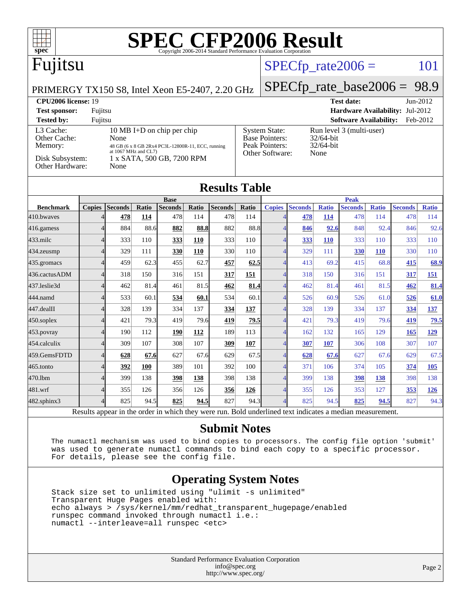| $\textbf{SPE}_{\text{Copyright 2006-2014 Standard Performance Evaluation Corporation}} \textbf{Results}$<br>$spec^{\circ}$ |                                                                           |                |            |                |       |                                                                                 |              |                             |                      |              |                                |              |                |              |
|----------------------------------------------------------------------------------------------------------------------------|---------------------------------------------------------------------------|----------------|------------|----------------|-------|---------------------------------------------------------------------------------|--------------|-----------------------------|----------------------|--------------|--------------------------------|--------------|----------------|--------------|
| Fujitsu                                                                                                                    |                                                                           |                |            |                |       |                                                                                 |              |                             | $SPECfp\_rate2006 =$ |              |                                |              |                | 101          |
| PRIMERGY TX150 S8, Intel Xeon E5-2407, 2.20 GHz                                                                            |                                                                           |                |            |                |       |                                                                                 |              |                             |                      |              | $SPECfp_rate\_base2006 = 98.9$ |              |                |              |
| CPU2006 license: 19<br><b>Test date:</b><br>Jun-2012                                                                       |                                                                           |                |            |                |       |                                                                                 |              |                             |                      |              |                                |              |                |              |
| <b>Test sponsor:</b><br>Hardware Availability: Jul-2012<br>Fujitsu                                                         |                                                                           |                |            |                |       |                                                                                 |              |                             |                      |              |                                |              |                |              |
| <b>Software Availability:</b><br>Feb-2012<br><b>Tested by:</b><br>Fujitsu                                                  |                                                                           |                |            |                |       |                                                                                 |              |                             |                      |              |                                |              |                |              |
| L3 Cache:<br>10 MB I+D on chip per chip                                                                                    |                                                                           |                |            |                |       | <b>System State:</b><br>Run level 3 (multi-user)<br>Base Pointers:<br>32/64-bit |              |                             |                      |              |                                |              |                |              |
| Memory:                                                                                                                    | Other Cache:<br>None<br>48 GB (6 x 8 GB 2Rx4 PC3L-12800R-11, ECC, running |                |            |                |       |                                                                                 |              | Peak Pointers:<br>32/64-bit |                      |              |                                |              |                |              |
| at 1067 MHz and CL7)<br>Other Software:<br>None<br>Disk Subsystem:<br>1 x SATA, 500 GB, 7200 RPM                           |                                                                           |                |            |                |       |                                                                                 |              |                             |                      |              |                                |              |                |              |
| Other Hardware:<br>None                                                                                                    |                                                                           |                |            |                |       |                                                                                 |              |                             |                      |              |                                |              |                |              |
|                                                                                                                            |                                                                           |                |            |                |       |                                                                                 |              |                             |                      |              |                                |              |                |              |
| <b>Results Table</b>                                                                                                       |                                                                           |                |            |                |       |                                                                                 |              |                             |                      |              |                                |              |                |              |
|                                                                                                                            |                                                                           |                |            | <b>Base</b>    |       |                                                                                 |              |                             |                      |              | <b>Peak</b>                    |              |                |              |
| <b>Benchmark</b>                                                                                                           | <b>Copies</b>                                                             | <b>Seconds</b> | Ratio      | <b>Seconds</b> | Ratio | <b>Seconds</b>                                                                  | <b>Ratio</b> | <b>Copies</b>               | <b>Seconds</b>       | <b>Ratio</b> | <b>Seconds</b>                 | <b>Ratio</b> | <b>Seconds</b> | <b>Ratio</b> |
| 410.bwayes                                                                                                                 | $\overline{4}$                                                            | 478            | 114        | 478            | 114   | 478                                                                             | 114          | $\Delta$                    | 478                  | 114          | 478                            | 114          | 478            | 114          |
| 416.gamess                                                                                                                 | $\overline{4}$                                                            | 884            | 88.6       | 882            | 88.8  | 882                                                                             | 88.8         | $\overline{4}$              | 846                  | 92.6         | 848                            | 92.4         | 846            | 92.6         |
| 433.milc                                                                                                                   | $\overline{4}$                                                            | 333            | 110        | 333            | 110   | 333                                                                             | 110          | Δ                           | 333                  | <b>110</b>   | 333                            | 110          | 333            | 110          |
| 434.zeusmp                                                                                                                 | $\overline{4}$                                                            | 329            | 111        | 330            | 110   | 330                                                                             | 110          | Δ                           | 329                  | 111          | 330                            | <b>110</b>   | 330            | 110          |
| 435.gromacs                                                                                                                | $\overline{4}$                                                            | 459            | 62.3       | 455            | 62.7  | 457                                                                             | 62.5         | $\Delta$                    | 413                  | 69.2         | 415                            | 68.8         | 415            | 68.9         |
| 436.cactusADM                                                                                                              | $\overline{4}$                                                            | 318            | 150        | 316            | 151   | 317                                                                             | 151          | $\overline{4}$              | 318                  | 150          | 316                            | 151          | 317            | <b>151</b>   |
| 437.leslie3d                                                                                                               | $\overline{4}$                                                            | 462            | 81.4       | 461            | 81.5  | 462                                                                             | 81.4         | 4                           | 462                  | 81.4         | 461                            | 81.5         | 462            | 81.4         |
| 444.namd                                                                                                                   | $\overline{4}$                                                            | 533            | 60.1       | 534            | 60.1  | 534                                                                             | 60.1         | $\Delta$                    | 526                  | 60.9         | 526                            | 61.0         | 526            | 61.0         |
| 447.dealII                                                                                                                 | $\overline{4}$                                                            | 328            | 139        | 334            | 137   | 334                                                                             | 137          | $\overline{4}$              | 328                  | 139          | 334                            | 137          | 334            | 137          |
| 450.soplex                                                                                                                 | $\overline{4}$                                                            | 421            | 79.3       | 419            | 79.6  | 419                                                                             | 79.5         | 4                           | 421                  | 79.3         | 419                            | 79.6         | 419            | 79.5         |
| 453.povray                                                                                                                 | $\overline{4}$                                                            | 190            | 112        | 190            | 112   | 189                                                                             | 113          | 4                           | 162                  | 132          | 165                            | 129          | 165            | 129          |
| 454.calculix                                                                                                               | $\overline{4}$                                                            | 309            | 107        | 308            | 107   | 309                                                                             | 107          | $\overline{4}$              | 307                  | 107          | 306                            | 108          | 307            | 107          |
| 459.GemsFDTD                                                                                                               | $\overline{4}$                                                            | 628            | 67.6       | 627            | 67.6  | 629                                                                             | 67.5         | $\overline{4}$              | 628                  | 67.6         | 627                            | 67.6         | 629            | 67.5         |
| 465.tonto                                                                                                                  | $\overline{4}$                                                            | 392            | <b>100</b> | 389            | 101   | 392                                                                             | 100          | 4                           | 371                  | 106          | 374                            | 105          | 374            | <b>105</b>   |
| 470.1bm                                                                                                                    | $\overline{4}$                                                            | 399            | 138        | 398            | 138   | 398                                                                             | 138          | $\overline{\mathcal{A}}$    | 399                  | 138          | 398                            | 138          | 398            | 138          |
| 481.wrf                                                                                                                    | $\overline{4}$                                                            | 355            | 126        | 356            | 126   | 356                                                                             | 126          | Δ                           | 355                  | 126          | 353                            | 127          | 353            | <u>126</u>   |
|                                                                                                                            |                                                                           |                |            |                |       |                                                                                 |              |                             |                      |              |                                |              |                |              |

Results appear in the [order in which they were run.](http://www.spec.org/auto/cpu2006/Docs/result-fields.html#RunOrder) Bold underlined text [indicates a median measurement.](http://www.spec.org/auto/cpu2006/Docs/result-fields.html#Median)

[482.sphinx3](http://www.spec.org/auto/cpu2006/Docs/482.sphinx3.html) 4 825 94.5 **[825](http://www.spec.org/auto/cpu2006/Docs/result-fields.html#Median) [94.5](http://www.spec.org/auto/cpu2006/Docs/result-fields.html#Median)** 827 94.3 4 825 94.5 **[825](http://www.spec.org/auto/cpu2006/Docs/result-fields.html#Median) [94.5](http://www.spec.org/auto/cpu2006/Docs/result-fields.html#Median)** 827 94.3

**[Submit Notes](http://www.spec.org/auto/cpu2006/Docs/result-fields.html#SubmitNotes)**

 The numactl mechanism was used to bind copies to processors. The config file option 'submit' was used to generate numactl commands to bind each copy to a specific processor. For details, please see the config file.

### **[Operating System Notes](http://www.spec.org/auto/cpu2006/Docs/result-fields.html#OperatingSystemNotes)**

 Stack size set to unlimited using "ulimit -s unlimited" Transparent Huge Pages enabled with: echo always > /sys/kernel/mm/redhat\_transparent\_hugepage/enabled runspec command invoked through numactl i.e.: numactl --interleave=all runspec <etc>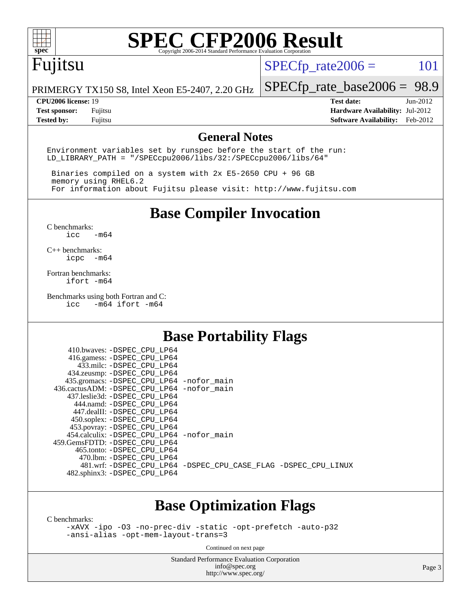

# **[SPEC CFP2006 Result](http://www.spec.org/auto/cpu2006/Docs/result-fields.html#SPECCFP2006Result)**

## Fujitsu

 $SPECTp_rate2006 = 101$ 

PRIMERGY TX150 S8, Intel Xeon E5-2407, 2.20 GHz

### **[CPU2006 license:](http://www.spec.org/auto/cpu2006/Docs/result-fields.html#CPU2006license)** 19 **[Test date:](http://www.spec.org/auto/cpu2006/Docs/result-fields.html#Testdate)** Jun-2012

[SPECfp\\_rate\\_base2006 =](http://www.spec.org/auto/cpu2006/Docs/result-fields.html#SPECfpratebase2006) 98.9

**[Test sponsor:](http://www.spec.org/auto/cpu2006/Docs/result-fields.html#Testsponsor)** Fujitsu **[Hardware Availability:](http://www.spec.org/auto/cpu2006/Docs/result-fields.html#HardwareAvailability)** Jul-2012 **[Tested by:](http://www.spec.org/auto/cpu2006/Docs/result-fields.html#Testedby)** Fujitsu **[Software Availability:](http://www.spec.org/auto/cpu2006/Docs/result-fields.html#SoftwareAvailability)** Feb-2012

### **[General Notes](http://www.spec.org/auto/cpu2006/Docs/result-fields.html#GeneralNotes)**

Environment variables set by runspec before the start of the run: LD\_LIBRARY\_PATH = "/SPECcpu2006/libs/32:/SPECcpu2006/libs/64"

 Binaries compiled on a system with 2x E5-2650 CPU + 96 GB memory using RHEL6.2 For information about Fujitsu please visit: <http://www.fujitsu.com>

**[Base Compiler Invocation](http://www.spec.org/auto/cpu2006/Docs/result-fields.html#BaseCompilerInvocation)**

[C benchmarks](http://www.spec.org/auto/cpu2006/Docs/result-fields.html#Cbenchmarks):  $\text{icc}$   $-\text{m64}$ 

[C++ benchmarks:](http://www.spec.org/auto/cpu2006/Docs/result-fields.html#CXXbenchmarks) [icpc -m64](http://www.spec.org/cpu2006/results/res2012q3/cpu2006-20120810-24090.flags.html#user_CXXbase_intel_icpc_64bit_bedb90c1146cab66620883ef4f41a67e)

[Fortran benchmarks](http://www.spec.org/auto/cpu2006/Docs/result-fields.html#Fortranbenchmarks): [ifort -m64](http://www.spec.org/cpu2006/results/res2012q3/cpu2006-20120810-24090.flags.html#user_FCbase_intel_ifort_64bit_ee9d0fb25645d0210d97eb0527dcc06e)

[Benchmarks using both Fortran and C](http://www.spec.org/auto/cpu2006/Docs/result-fields.html#BenchmarksusingbothFortranandC):<br>icc -m64 ifort -m64  $-m64$  ifort  $-m64$ 

### **[Base Portability Flags](http://www.spec.org/auto/cpu2006/Docs/result-fields.html#BasePortabilityFlags)**

| 410.bwaves: -DSPEC CPU LP64                  |                                                                |
|----------------------------------------------|----------------------------------------------------------------|
| 416.gamess: -DSPEC_CPU_LP64                  |                                                                |
| 433.milc: -DSPEC CPU LP64                    |                                                                |
| 434.zeusmp: - DSPEC CPU LP64                 |                                                                |
| 435.gromacs: -DSPEC_CPU_LP64 -nofor_main     |                                                                |
| 436.cactusADM: - DSPEC CPU LP64 - nofor main |                                                                |
| 437.leslie3d: -DSPEC CPU LP64                |                                                                |
| 444.namd: -DSPEC CPU LP64                    |                                                                |
| 447.dealII: -DSPEC CPU LP64                  |                                                                |
| 450.soplex: -DSPEC_CPU_LP64                  |                                                                |
| 453.povray: -DSPEC_CPU_LP64                  |                                                                |
| 454.calculix: - DSPEC CPU LP64 - nofor main  |                                                                |
| 459.GemsFDTD: - DSPEC_CPU LP64               |                                                                |
| 465.tonto: - DSPEC CPU LP64                  |                                                                |
| 470.1bm: - DSPEC CPU LP64                    |                                                                |
|                                              | 481.wrf: -DSPEC_CPU_LP64 -DSPEC_CPU_CASE_FLAG -DSPEC_CPU_LINUX |
| 482.sphinx3: -DSPEC_CPU_LP64                 |                                                                |
|                                              |                                                                |

### **[Base Optimization Flags](http://www.spec.org/auto/cpu2006/Docs/result-fields.html#BaseOptimizationFlags)**

[C benchmarks](http://www.spec.org/auto/cpu2006/Docs/result-fields.html#Cbenchmarks):

[-xAVX](http://www.spec.org/cpu2006/results/res2012q3/cpu2006-20120810-24090.flags.html#user_CCbase_f-xAVX) [-ipo](http://www.spec.org/cpu2006/results/res2012q3/cpu2006-20120810-24090.flags.html#user_CCbase_f-ipo) [-O3](http://www.spec.org/cpu2006/results/res2012q3/cpu2006-20120810-24090.flags.html#user_CCbase_f-O3) [-no-prec-div](http://www.spec.org/cpu2006/results/res2012q3/cpu2006-20120810-24090.flags.html#user_CCbase_f-no-prec-div) [-static](http://www.spec.org/cpu2006/results/res2012q3/cpu2006-20120810-24090.flags.html#user_CCbase_f-static) [-opt-prefetch](http://www.spec.org/cpu2006/results/res2012q3/cpu2006-20120810-24090.flags.html#user_CCbase_f-opt-prefetch) [-auto-p32](http://www.spec.org/cpu2006/results/res2012q3/cpu2006-20120810-24090.flags.html#user_CCbase_f-auto-p32) [-ansi-alias](http://www.spec.org/cpu2006/results/res2012q3/cpu2006-20120810-24090.flags.html#user_CCbase_f-ansi-alias) [-opt-mem-layout-trans=3](http://www.spec.org/cpu2006/results/res2012q3/cpu2006-20120810-24090.flags.html#user_CCbase_f-opt-mem-layout-trans_a7b82ad4bd7abf52556d4961a2ae94d5)

Continued on next page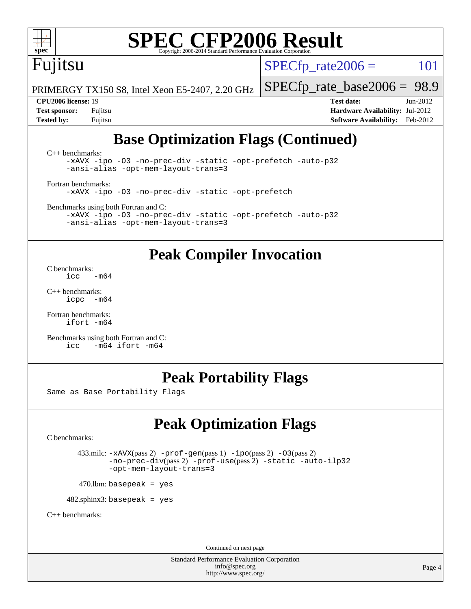

# **[SPEC CFP2006 Result](http://www.spec.org/auto/cpu2006/Docs/result-fields.html#SPECCFP2006Result)**

Fujitsu

 $SPECTp\_rate2006 = 101$ 

PRIMERGY TX150 S8, Intel Xeon E5-2407, 2.20 GHz

[SPECfp\\_rate\\_base2006 =](http://www.spec.org/auto/cpu2006/Docs/result-fields.html#SPECfpratebase2006) 98.9 **[CPU2006 license:](http://www.spec.org/auto/cpu2006/Docs/result-fields.html#CPU2006license)** 19 **[Test date:](http://www.spec.org/auto/cpu2006/Docs/result-fields.html#Testdate)** Jun-2012

**[Test sponsor:](http://www.spec.org/auto/cpu2006/Docs/result-fields.html#Testsponsor)** Fujitsu **[Hardware Availability:](http://www.spec.org/auto/cpu2006/Docs/result-fields.html#HardwareAvailability)** Jul-2012 **[Tested by:](http://www.spec.org/auto/cpu2006/Docs/result-fields.html#Testedby)** Fujitsu **[Software Availability:](http://www.spec.org/auto/cpu2006/Docs/result-fields.html#SoftwareAvailability)** Feb-2012

### **[Base Optimization Flags \(Continued\)](http://www.spec.org/auto/cpu2006/Docs/result-fields.html#BaseOptimizationFlags)**

[C++ benchmarks:](http://www.spec.org/auto/cpu2006/Docs/result-fields.html#CXXbenchmarks) [-xAVX](http://www.spec.org/cpu2006/results/res2012q3/cpu2006-20120810-24090.flags.html#user_CXXbase_f-xAVX) [-ipo](http://www.spec.org/cpu2006/results/res2012q3/cpu2006-20120810-24090.flags.html#user_CXXbase_f-ipo) [-O3](http://www.spec.org/cpu2006/results/res2012q3/cpu2006-20120810-24090.flags.html#user_CXXbase_f-O3) [-no-prec-div](http://www.spec.org/cpu2006/results/res2012q3/cpu2006-20120810-24090.flags.html#user_CXXbase_f-no-prec-div) [-static](http://www.spec.org/cpu2006/results/res2012q3/cpu2006-20120810-24090.flags.html#user_CXXbase_f-static) [-opt-prefetch](http://www.spec.org/cpu2006/results/res2012q3/cpu2006-20120810-24090.flags.html#user_CXXbase_f-opt-prefetch) [-auto-p32](http://www.spec.org/cpu2006/results/res2012q3/cpu2006-20120810-24090.flags.html#user_CXXbase_f-auto-p32) [-ansi-alias](http://www.spec.org/cpu2006/results/res2012q3/cpu2006-20120810-24090.flags.html#user_CXXbase_f-ansi-alias) [-opt-mem-layout-trans=3](http://www.spec.org/cpu2006/results/res2012q3/cpu2006-20120810-24090.flags.html#user_CXXbase_f-opt-mem-layout-trans_a7b82ad4bd7abf52556d4961a2ae94d5)

[Fortran benchmarks](http://www.spec.org/auto/cpu2006/Docs/result-fields.html#Fortranbenchmarks): [-xAVX](http://www.spec.org/cpu2006/results/res2012q3/cpu2006-20120810-24090.flags.html#user_FCbase_f-xAVX) [-ipo](http://www.spec.org/cpu2006/results/res2012q3/cpu2006-20120810-24090.flags.html#user_FCbase_f-ipo) [-O3](http://www.spec.org/cpu2006/results/res2012q3/cpu2006-20120810-24090.flags.html#user_FCbase_f-O3) [-no-prec-div](http://www.spec.org/cpu2006/results/res2012q3/cpu2006-20120810-24090.flags.html#user_FCbase_f-no-prec-div) [-static](http://www.spec.org/cpu2006/results/res2012q3/cpu2006-20120810-24090.flags.html#user_FCbase_f-static) [-opt-prefetch](http://www.spec.org/cpu2006/results/res2012q3/cpu2006-20120810-24090.flags.html#user_FCbase_f-opt-prefetch)

[Benchmarks using both Fortran and C](http://www.spec.org/auto/cpu2006/Docs/result-fields.html#BenchmarksusingbothFortranandC):

[-xAVX](http://www.spec.org/cpu2006/results/res2012q3/cpu2006-20120810-24090.flags.html#user_CC_FCbase_f-xAVX) [-ipo](http://www.spec.org/cpu2006/results/res2012q3/cpu2006-20120810-24090.flags.html#user_CC_FCbase_f-ipo) [-O3](http://www.spec.org/cpu2006/results/res2012q3/cpu2006-20120810-24090.flags.html#user_CC_FCbase_f-O3) [-no-prec-div](http://www.spec.org/cpu2006/results/res2012q3/cpu2006-20120810-24090.flags.html#user_CC_FCbase_f-no-prec-div) [-static](http://www.spec.org/cpu2006/results/res2012q3/cpu2006-20120810-24090.flags.html#user_CC_FCbase_f-static) [-opt-prefetch](http://www.spec.org/cpu2006/results/res2012q3/cpu2006-20120810-24090.flags.html#user_CC_FCbase_f-opt-prefetch) [-auto-p32](http://www.spec.org/cpu2006/results/res2012q3/cpu2006-20120810-24090.flags.html#user_CC_FCbase_f-auto-p32) [-ansi-alias](http://www.spec.org/cpu2006/results/res2012q3/cpu2006-20120810-24090.flags.html#user_CC_FCbase_f-ansi-alias) [-opt-mem-layout-trans=3](http://www.spec.org/cpu2006/results/res2012q3/cpu2006-20120810-24090.flags.html#user_CC_FCbase_f-opt-mem-layout-trans_a7b82ad4bd7abf52556d4961a2ae94d5)

### **[Peak Compiler Invocation](http://www.spec.org/auto/cpu2006/Docs/result-fields.html#PeakCompilerInvocation)**

[C benchmarks](http://www.spec.org/auto/cpu2006/Docs/result-fields.html#Cbenchmarks):  $-m64$ 

[C++ benchmarks:](http://www.spec.org/auto/cpu2006/Docs/result-fields.html#CXXbenchmarks) [icpc -m64](http://www.spec.org/cpu2006/results/res2012q3/cpu2006-20120810-24090.flags.html#user_CXXpeak_intel_icpc_64bit_bedb90c1146cab66620883ef4f41a67e)

[Fortran benchmarks](http://www.spec.org/auto/cpu2006/Docs/result-fields.html#Fortranbenchmarks): [ifort -m64](http://www.spec.org/cpu2006/results/res2012q3/cpu2006-20120810-24090.flags.html#user_FCpeak_intel_ifort_64bit_ee9d0fb25645d0210d97eb0527dcc06e)

[Benchmarks using both Fortran and C](http://www.spec.org/auto/cpu2006/Docs/result-fields.html#BenchmarksusingbothFortranandC):<br>icc -m64 ifort -m64  $-m64$  ifort  $-m64$ 

### **[Peak Portability Flags](http://www.spec.org/auto/cpu2006/Docs/result-fields.html#PeakPortabilityFlags)**

Same as Base Portability Flags

## **[Peak Optimization Flags](http://www.spec.org/auto/cpu2006/Docs/result-fields.html#PeakOptimizationFlags)**

[C benchmarks](http://www.spec.org/auto/cpu2006/Docs/result-fields.html#Cbenchmarks):

```
 433.milc: -xAVX(pass 2) -prof-gen(pass 1) -ipo(pass 2) -O3(pass 2)
        -no-prec-div(pass 2) -prof-use(pass 2) -static -auto-ilp32
        -opt-mem-layout-trans=3
```
 $470.$ lbm: basepeak = yes

 $482$ .sphinx3: basepeak = yes

[C++ benchmarks:](http://www.spec.org/auto/cpu2006/Docs/result-fields.html#CXXbenchmarks)

Continued on next page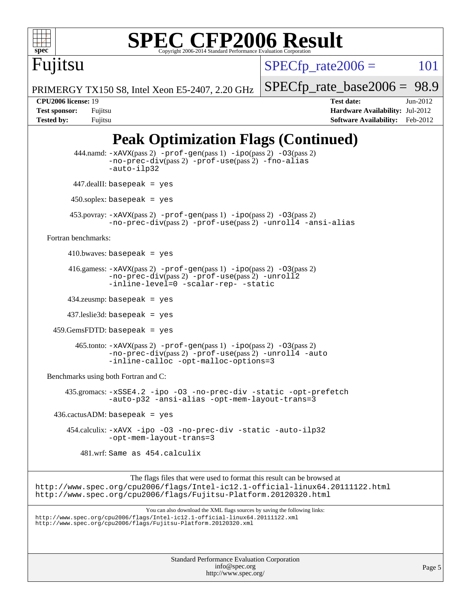

# **[SPEC CFP2006 Result](http://www.spec.org/auto/cpu2006/Docs/result-fields.html#SPECCFP2006Result)**

Fujitsu

 $SPECTp\_rate2006 = 101$ 

[SPECfp\\_rate\\_base2006 =](http://www.spec.org/auto/cpu2006/Docs/result-fields.html#SPECfpratebase2006) 98.9

PRIMERGY TX150 S8, Intel Xeon E5-2407, 2.20 GHz

**[Tested by:](http://www.spec.org/auto/cpu2006/Docs/result-fields.html#Testedby)** Fujitsu **[Software Availability:](http://www.spec.org/auto/cpu2006/Docs/result-fields.html#SoftwareAvailability)** Feb-2012

**[CPU2006 license:](http://www.spec.org/auto/cpu2006/Docs/result-fields.html#CPU2006license)** 19 **[Test date:](http://www.spec.org/auto/cpu2006/Docs/result-fields.html#Testdate)** Jun-2012 **[Test sponsor:](http://www.spec.org/auto/cpu2006/Docs/result-fields.html#Testsponsor)** Fujitsu **[Hardware Availability:](http://www.spec.org/auto/cpu2006/Docs/result-fields.html#HardwareAvailability)** Jul-2012

## **[Peak Optimization Flags \(Continued\)](http://www.spec.org/auto/cpu2006/Docs/result-fields.html#PeakOptimizationFlags)**

```
Standard Performance Evaluation Corporation
                                               info@spec.org
                                             http://www.spec.org/
                                                                                                      Page 5
          444.namd: -xAVX(pass 2) -prof-gen(pass 1) -ppo(pass 2) -03(pass 2)
                   -no-prec-div(pass 2) -prof-use(pass 2) -fno-alias
                   -auto-ilp32
           447.dealII: basepeak = yes
          450.soplex: basepeak = yes
          453.povray: -xAVX(pass 2) -prof-gen(pass 1) -ipo(pass 2) -O3(pass 2)
                   -no-prec-div(pass 2) -prof-use(pass 2) -unroll4 -ansi-alias
   Fortran benchmarks: 
        410.bwaves: basepeak = yes416.gamess: -xAVX(pass 2) -prof-gen(pass 1) -ipo(pass 2) -O3(pass 2)
                   -no-prec-div(pass 2) -prof-use(pass 2) -unroll2
                   -inline-level=0 -scalar-rep- -static
         434.zeusmp: basepeak = yes
         437.leslie3d: basepeak = yes
     459.GemsFDTD: basepeak = yes
           465.tonto: -xAVX(pass 2) -prof-gen(pass 1) -ipo(pass 2) -O3(pass 2)
                   -no-prec-div(pass 2) -prof-use(pass 2) -unroll4 -auto
                   -inline-calloc -opt-malloc-options=3
   Benchmarks using both Fortran and C: 
        435.gromacs: -xSSE4.2 -ipo -O3 -no-prec-div -static -opt-prefetch
                   -auto-p32 -ansi-alias -opt-mem-layout-trans=3
    436.cactusADM: basepeak = yes 454.calculix: -xAVX -ipo -O3 -no-prec-div -static -auto-ilp32
                   -opt-mem-layout-trans=3
             481.wrf: Same as 454.calculix
                         The flags files that were used to format this result can be browsed at
http://www.spec.org/cpu2006/flags/Intel-ic12.1-official-linux64.20111122.html
http://www.spec.org/cpu2006/flags/Fujitsu-Platform.20120320.html
                             You can also download the XML flags sources by saving the following links:
http://www.spec.org/cpu2006/flags/Intel-ic12.1-official-linux64.20111122.xml
http://www.spec.org/cpu2006/flags/Fujitsu-Platform.20120320.xml
```